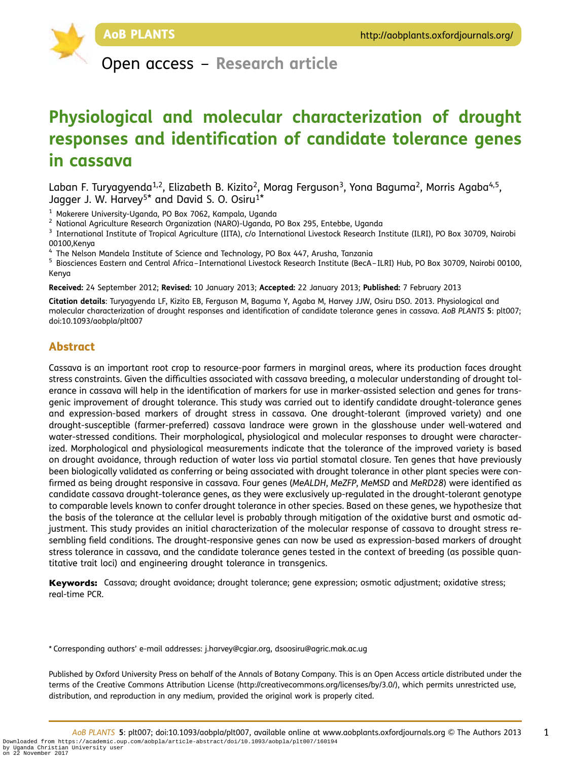

Open access – Research article

# Physiological and molecular characterization of drought responses and identification of candidate tolerance genes in cassava

Laban F. Turyagyenda<sup>1,2</sup>, Elizabeth B. Kizito<sup>2</sup>, Morag Ferguson<sup>3</sup>, Yona Baguma<sup>2</sup>, Morris Agaba<sup>4,5</sup>, Jagger J. W. Harvey<sup>5\*</sup> and David S. O. Osiru<sup>1\*</sup>

<sup>1</sup> Makerere University-Uganda, PO Box 7062, Kampala, Uganda<br><sup>2</sup> National Agriculture Research Organization (NARO)-Uganda, PO Box 295, Entebbe, Uganda<br><sup>3</sup> International Institute of Tropical Agriculture (IITA), c/o Intern 00100,Kenya

<sup>4</sup> The Nelson Mandela Institute of Science and Technology, PO Box 447, Arusha, Tanzania<br><sup>5</sup> Biosciences Eastern and Central Africa–International Livestock Research Institute (BecA–ILRI) Hub, PO Box 30709, Nairobi 00100, Kenya

Received: 24 September 2012; Revised: 10 January 2013; Accepted: 22 January 2013; Published: 7 February 2013

Citation details: Turyagyenda LF, Kizito EB, Ferguson M, Baguma Y, Agaba M, Harvey JJW, Osiru DSO. 2013. Physiological and molecular characterization of drought responses and identification of candidate tolerance genes in cassava. AoB PLANTS 5: plt007; doi:10.1093/aobpla/plt007

# Abstract

Cassava is an important root crop to resource-poor farmers in marginal areas, where its production faces drought stress constraints. Given the difficulties associated with cassava breeding, a molecular understanding of drought tolerance in cassava will help in the identification of markers for use in marker-assisted selection and genes for transgenic improvement of drought tolerance. This study was carried out to identify candidate drought-tolerance genes and expression-based markers of drought stress in cassava. One drought-tolerant (improved variety) and one drought-susceptible (farmer-preferred) cassava landrace were grown in the glasshouse under well-watered and water-stressed conditions. Their morphological, physiological and molecular responses to drought were characterized. Morphological and physiological measurements indicate that the tolerance of the improved variety is based on drought avoidance, through reduction of water loss via partial stomatal closure. Ten genes that have previously been biologically validated as conferring or being associated with drought tolerance in other plant species were confirmed as being drought responsive in cassava. Four genes (MeALDH, MeZFP, MeMSD and MeRD28) were identified as candidate cassava drought-tolerance genes, as they were exclusively up-regulated in the drought-tolerant genotype to comparable levels known to confer drought tolerance in other species. Based on these genes, we hypothesize that the basis of the tolerance at the cellular level is probably through mitigation of the oxidative burst and osmotic adjustment. This study provides an initial characterization of the molecular response of cassava to drought stress resembling field conditions. The drought-responsive genes can now be used as expression-based markers of drought stress tolerance in cassava, and the candidate tolerance genes tested in the context of breeding (as possible quantitative trait loci) and engineering drought tolerance in transgenics.

Keywords: Cassava; drought avoidance; drought tolerance; gene expression; osmotic adjustment; oxidative stress; real-time PCR.

\* Corresponding authors' e-mail addresses: j.harvey@cgiar.org, dsoosiru@agric.mak.ac.ug

Published by Oxford University Press on behalf of the Annals of Botany Company. This is an Open Access article distributed under the terms of the Creative Commons Attribution License (http://creativecommons.org/licenses/by/3.0/), which permits unrestricted use, distribution, and reproduction in any medium, provided the original work is properly cited.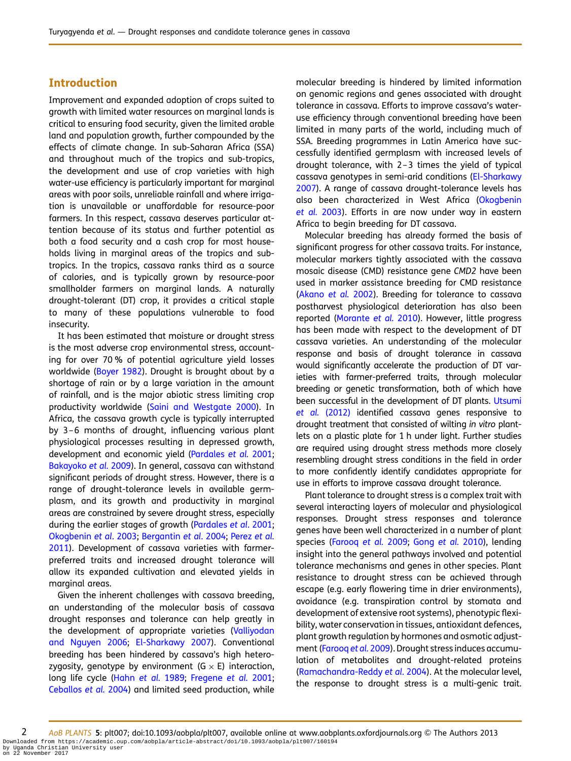# Introduction

Improvement and expanded adoption of crops suited to growth with limited water resources on marginal lands is critical to ensuring food security, given the limited arable land and population growth, further compounded by the effects of climate change. In sub-Saharan Africa (SSA) and throughout much of the tropics and sub-tropics, the development and use of crop varieties with high water-use efficiency is particularly important for marginal areas with poor soils, unreliable rainfall and where irrigation is unavailable or unaffordable for resource-poor farmers. In this respect, cassava deserves particular attention because of its status and further potential as both a food security and a cash crop for most households living in marginal areas of the tropics and subtropics. In the tropics, cassava ranks third as a source of calories, and is typically grown by resource-poor smallholder farmers on marginal lands. A naturally drought-tolerant (DT) crop, it provides a critical staple to many of these populations vulnerable to food insecurity.

It has been estimated that moisture or drought stress is the most adverse crop environmental stress, accounting for over 70 % of potential agriculture yield losses worldwide ([Boyer 1982](#page-14-0)). Drought is brought about by a shortage of rain or by a large variation in the amount of rainfall, and is the major abiotic stress limiting crop productivity worldwide [\(Saini and Westgate 2000](#page-16-0)). In Africa, the cassava growth cycle is typically interrupted by 3–6 months of drought, influencing various plant physiological processes resulting in depressed growth, development and economic yield [\(Pardales](#page-15-0) et al. 2001; [Bakayoko](#page-14-0) et al. 2009). In general, cassava can withstand significant periods of drought stress. However, there is a range of drought-tolerance levels in available germplasm, and its growth and productivity in marginal areas are constrained by severe drought stress, especially during the earlier stages of growth [\(Pardales](#page-15-0) et al. 2001; [Okogbenin](#page-15-0) et al. 2003; [Bergantin](#page-14-0) et al. 2004; [Perez](#page-15-0) et al. [2011\)](#page-15-0). Development of cassava varieties with farmerpreferred traits and increased drought tolerance will allow its expanded cultivation and elevated yields in marginal areas.

Given the inherent challenges with cassava breeding, an understanding of the molecular basis of cassava drought responses and tolerance can help greatly in the development of appropriate varieties [\(Valliyodan](#page-16-0) [and Nguyen 2006;](#page-16-0) [El-Sharkawy 2007](#page-15-0)). Conventional breeding has been hindered by cassava's high heterozygosity, genotype by environment  $(G \times E)$  interaction, long life cycle (Hahn [et al.](#page-15-0) 1989; [Fregene](#page-15-0) et al. 2001; [Ceballos](#page-14-0) et al. 2004) and limited seed production, while

molecular breeding is hindered by limited information on genomic regions and genes associated with drought tolerance in cassava. Efforts to improve cassava's wateruse efficiency through conventional breeding have been limited in many parts of the world, including much of SSA. Breeding programmes in Latin America have successfully identified germplasm with increased levels of drought tolerance, with 2–3 times the yield of typical cassava genotypes in semi-arid conditions [\(El-Sharkawy](#page-15-0) [2007\)](#page-15-0). A range of cassava drought-tolerance levels has also been characterized in West Africa ([Okogbenin](#page-15-0) [et al.](#page-15-0) 2003). Efforts in are now under way in eastern Africa to begin breeding for DT cassava.

Molecular breeding has already formed the basis of significant progress for other cassava traits. For instance, molecular markers tightly associated with the cassava mosaic disease (CMD) resistance gene CMD2 have been used in marker assistance breeding for CMD resistance ([Akano](#page-14-0) et al. 2002). Breeding for tolerance to cassava postharvest physiological deterioration has also been reported [\(Morante](#page-15-0) et al. 2010). However, little progress has been made with respect to the development of DT cassava varieties. An understanding of the molecular response and basis of drought tolerance in cassava would significantly accelerate the production of DT varieties with farmer-preferred traits, through molecular breeding or genetic transformation, both of which have been successful in the development of DT plants. [Utsumi](#page-16-0) et al. [\(2012\)](#page-16-0) identified cassava genes responsive to drought treatment that consisted of wilting in vitro plantlets on a plastic plate for 1 h under light. Further studies are required using drought stress methods more closely resembling drought stress conditions in the field in order to more confidently identify candidates appropriate for use in efforts to improve cassava drought tolerance.

Plant tolerance to drought stress is a complex trait with several interacting layers of molecular and physiological responses. Drought stress responses and tolerance genes have been well characterized in a number of plant species [\(Farooq](#page-15-0) et al. 2009; Gong [et al.](#page-15-0) 2010), lending insight into the general pathways involved and potential tolerance mechanisms and genes in other species. Plant resistance to drought stress can be achieved through escape (e.g. early flowering time in drier environments), avoidance (e.g. transpiration control by stomata and development of extensive root systems), phenotypic flexibility, water conservation in tissues, antioxidant defences, plant growth regulation by hormones and osmotic adjust-ment ([Farooq](#page-15-0) et al. 2009). Drought stress induces accumulation of metabolites and drought-related proteins ([Ramachandra-Reddy](#page-15-0) et al. 2004). At the molecular level, the response to drought stress is a multi-genic trait.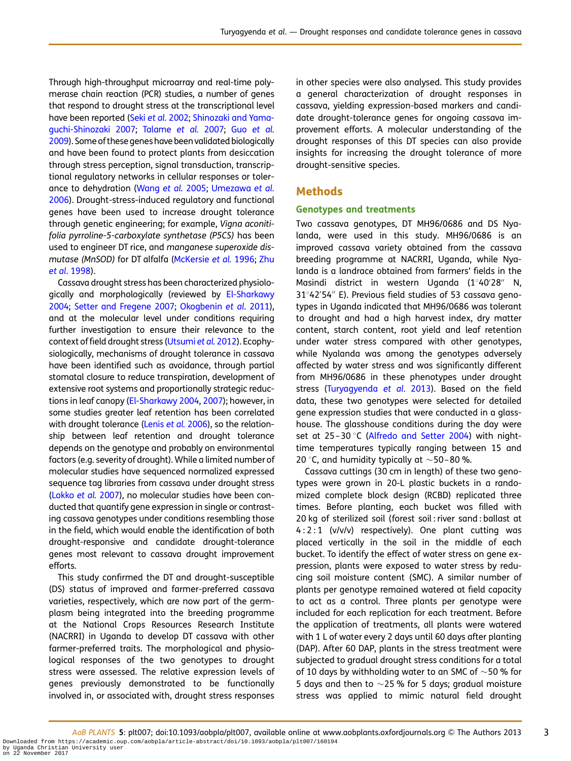Through high-throughput microarray and real-time polymerase chain reaction (PCR) studies, a number of genes that respond to drought stress at the transcriptional level have been reported (Seki et al. [2002;](#page-16-0) [Shinozaki and Yama](#page-16-0)[guchi-Shinozaki 2007](#page-16-0); [Talame](#page-16-0) et al. 2007; Guo [et al.](#page-15-0) [2009\)](#page-15-0). Some of these genes have been validated biologically and have been found to protect plants from desiccation through stress perception, signal transduction, transcriptional regulatory networks in cellular responses or tolerance to dehydration ([Wang](#page-16-0) et al. 2005; [Umezawa](#page-16-0) et al. [2006\)](#page-16-0). Drought-stress-induced regulatory and functional genes have been used to increase drought tolerance through genetic engineering; for example, Vigna aconitifolia pyrroline-5-carboxylate synthetase (P5CS) has been used to engineer DT rice, and manganese superoxide dismutase (MnSOD) for DT alfalfa ([McKersie](#page-15-0) et al. 1996; [Zhu](#page-16-0) et al[. 1998\)](#page-16-0).

Cassava drought stress has been characterized physiologically and morphologically (reviewed by [El-Sharkawy](#page-15-0) [2004;](#page-15-0) [Setter and Fregene 2007](#page-16-0); [Okogbenin](#page-15-0) et al. 2011), and at the molecular level under conditions requiring further investigation to ensure their relevance to the context of field drought stress ([Utsumi](#page-16-0) et al. 2012). Ecophysiologically, mechanisms of drought tolerance in cassava have been identified such as avoidance, through partial stomatal closure to reduce transpiration, development of extensive root systems and proportionally strategic reductions in leaf canopy ([El-Sharkawy 2004,](#page-15-0) [2007](#page-15-0)); however, in some studies greater leaf retention has been correlated with drought tolerance [\(Lenis](#page-15-0) et al. 2006), so the relationship between leaf retention and drought tolerance depends on the genotype and probably on environmental factors (e.g. severity of drought). While a limited number of molecular studies have sequenced normalized expressed sequence tag libraries from cassava under drought stress [\(Lokko](#page-15-0) et al. 2007), no molecular studies have been conducted that quantify gene expression in single or contrasting cassava genotypes under conditions resembling those in the field, which would enable the identification of both drought-responsive and candidate drought-tolerance genes most relevant to cassava drought improvement efforts.

This study confirmed the DT and drought-susceptible (DS) status of improved and farmer-preferred cassava varieties, respectively, which are now part of the germplasm being integrated into the breeding programme at the National Crops Resources Research Institute (NACRRI) in Uganda to develop DT cassava with other farmer-preferred traits. The morphological and physiological responses of the two genotypes to drought stress were assessed. The relative expression levels of genes previously demonstrated to be functionally involved in, or associated with, drought stress responses

in other species were also analysed. This study provides a general characterization of drought responses in cassava, yielding expression-based markers and candidate drought-tolerance genes for ongoing cassava improvement efforts. A molecular understanding of the drought responses of this DT species can also provide insights for increasing the drought tolerance of more drought-sensitive species.

## Methods

#### Genotypes and treatments

Two cassava genotypes, DT MH96/0686 and DS Nyalanda, were used in this study. MH96/0686 is an improved cassava variety obtained from the cassava breeding programme at NACRRI, Uganda, while Nyalanda is a landrace obtained from farmers' fields in the Masindi district in western Uganda (1°40′28″ N, 31842′ 54′′ E). Previous field studies of 53 cassava genotypes in Uganda indicated that MH96/0686 was tolerant to drought and had a high harvest index, dry matter content, starch content, root yield and leaf retention under water stress compared with other genotypes, while Nyalanda was among the genotypes adversely affected by water stress and was significantly different from MH96/0686 in these phenotypes under drought stress [\(Turyagyenda](#page-16-0) et al. 2013). Based on the field data, these two genotypes were selected for detailed gene expression studies that were conducted in a glasshouse. The glasshouse conditions during the day were set at 25-30 °C ([Alfredo and Setter 2004](#page-14-0)) with nighttime temperatures typically ranging between 15 and 20 °C, and humidity typically at  $\sim$  50–80 %.

Cassava cuttings (30 cm in length) of these two genotypes were grown in 20-L plastic buckets in a randomized complete block design (RCBD) replicated three times. Before planting, each bucket was filled with 20 kg of sterilized soil (forest soil : river sand : ballast at 4 : 2 : 1 (v/v/v) respectively). One plant cutting was placed vertically in the soil in the middle of each bucket. To identify the effect of water stress on gene expression, plants were exposed to water stress by reducing soil moisture content (SMC). A similar number of plants per genotype remained watered at field capacity to act as a control. Three plants per genotype were included for each replication for each treatment. Before the application of treatments, all plants were watered with 1 L of water every 2 days until 60 days after planting (DAP). After 60 DAP, plants in the stress treatment were subjected to gradual drought stress conditions for a total of 10 days by withholding water to an SMC of  $\sim$  50 % for 5 days and then to  $\sim$  25 % for 5 days; gradual moisture stress was applied to mimic natural field drought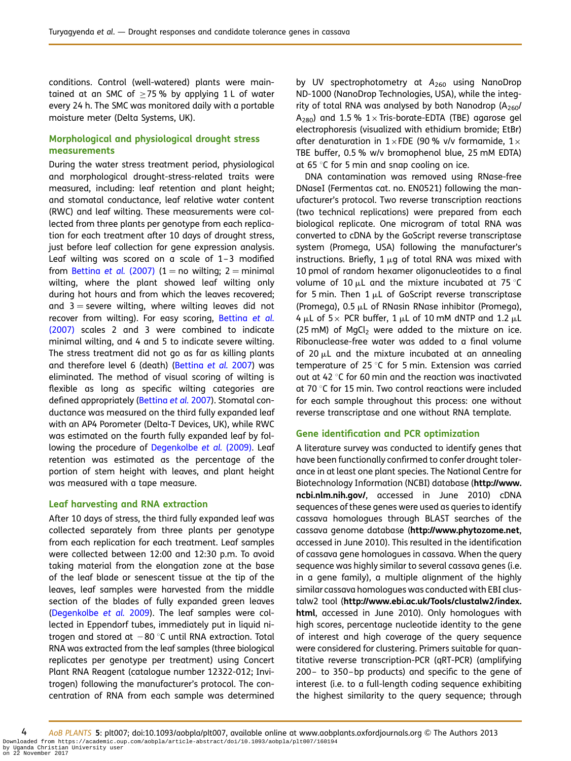conditions. Control (well-watered) plants were maintained at an SMC of  $>75%$  by applying 1 L of water every 24 h. The SMC was monitored daily with a portable moisture meter (Delta Systems, UK).

## Morphological and physiological drought stress measurements

During the water stress treatment period, physiological and morphological drought-stress-related traits were measured, including: leaf retention and plant height; and stomatal conductance, leaf relative water content (RWC) and leaf wilting. These measurements were collected from three plants per genotype from each replication for each treatment after 10 days of drought stress, just before leaf collection for gene expression analysis. Leaf wilting was scored on a scale of 1–3 modified from [Bettina](#page-14-0) et al. (2007) (1 = no wilting; 2 = minimal wilting, where the plant showed leaf wilting only during hot hours and from which the leaves recovered; and  $3$  = severe wilting, where wilting leaves did not recover from wilting). For easy scoring, [Bettina](#page-14-0) et al. [\(2007\)](#page-14-0) scales 2 and 3 were combined to indicate minimal wilting, and 4 and 5 to indicate severe wilting. The stress treatment did not go as far as killing plants and therefore level 6 (death) [\(Bettina](#page-14-0) et al. 2007) was eliminated. The method of visual scoring of wilting is flexible as long as specific wilting categories are defined appropriately [\(Bettina](#page-14-0) et al. 2007). Stomatal conductance was measured on the third fully expanded leaf with an AP4 Porometer (Delta-T Devices, UK), while RWC was estimated on the fourth fully expanded leaf by fol-lowing the procedure of [Degenkolbe](#page-15-0) et al. (2009). Leaf retention was estimated as the percentage of the portion of stem height with leaves, and plant height was measured with a tape measure.

#### Leaf harvesting and RNA extraction

After 10 days of stress, the third fully expanded leaf was collected separately from three plants per genotype from each replication for each treatment. Leaf samples were collected between 12:00 and 12:30 p.m. To avoid taking material from the elongation zone at the base of the leaf blade or senescent tissue at the tip of the leaves, leaf samples were harvested from the middle section of the blades of fully expanded green leaves [\(Degenkolbe](#page-15-0) et al. 2009). The leaf samples were collected in Eppendorf tubes, immediately put in liquid nitrogen and stored at  $-80$  °C until RNA extraction. Total RNA was extracted from the leaf samples (three biological replicates per genotype per treatment) using Concert Plant RNA Reagent (catalogue number 12322-012; Invitrogen) following the manufacturer's protocol. The concentration of RNA from each sample was determined

by UV spectrophotometry at  $A_{260}$  using NanoDrop ND-1000 (NanoDrop Technologies, USA), while the integrity of total RNA was analysed by both Nanodrop  $(A_{260}/A_{260})$  $A_{280}$ ) and 1.5 % 1 x Tris-borate-EDTA (TBE) agarose gel electrophoresis (visualized with ethidium bromide; EtBr) after denaturation in  $1 \times FDE$  (90 % v/v formamide,  $1 \times$ TBE buffer, 0.5 % w/v bromophenol blue, 25 mM EDTA) at 65 $\degree$ C for 5 min and snap cooling on ice.

DNA contamination was removed using RNase-free DNaseI (Fermentas cat. no. EN0521) following the manufacturer's protocol. Two reverse transcription reactions (two technical replications) were prepared from each biological replicate. One microgram of total RNA was converted to cDNA by the GoScript reverse transcriptase system (Promega, USA) following the manufacturer's instructions. Briefly, 1  $\mu$ g of total RNA was mixed with 10 pmol of random hexamer oligonucleotides to a final volume of 10  $\mu$ L and the mixture incubated at 75 °C for 5 min. Then  $1 \mu L$  of GoScript reverse transcriptase (Promega),  $0.5 \mu L$  of RNasin RNase inhibitor (Promega), 4  $\mu$ L of 5 × PCR buffer, 1  $\mu$ L of 10 mM dNTP and 1.2  $\mu$ L  $(25 \text{ mM})$  of MgCl<sub>2</sub> were added to the mixture on ice. Ribonuclease-free water was added to a final volume of 20  $\mu$ L and the mixture incubated at an annealing temperature of 25 °C for 5 min. Extension was carried out at 42  $\degree$ C for 60 min and the reaction was inactivated at 70 $\degree$ C for 15 min. Two control reactions were included for each sample throughout this process: one without reverse transcriptase and one without RNA template.

#### Gene identification and PCR optimization

A literature survey was conducted to identify genes that have been functionally confirmed to confer drought tolerance in at least one plant species. The National Centre for Biotechnology Information (NCBI) database (http://www. ncbi.nlm.nih.gov/, accessed in June 2010) cDNA sequences of these genes were used as queries to identify cassava homologues through BLAST searches of the cassava genome database (http://www.phytozome.net, accessed in June 2010). This resulted in the identification of cassava gene homologues in cassava. When the query sequence was highly similar to several cassava genes (i.e. in a gene family), a multiple alignment of the highly similar cassava homologues was conducted with EBI clustalw2 tool (http://www.ebi.ac.uk/Tools/clustalw2/index. html, accessed in June 2010). Only homologues with high scores, percentage nucleotide identity to the gene of interest and high coverage of the query sequence were considered for clustering. Primers suitable for quantitative reverse transcription-PCR (qRT-PCR) (amplifying 200– to 350–bp products) and specific to the gene of interest (i.e. to a full-length coding sequence exhibiting the highest similarity to the query sequence; through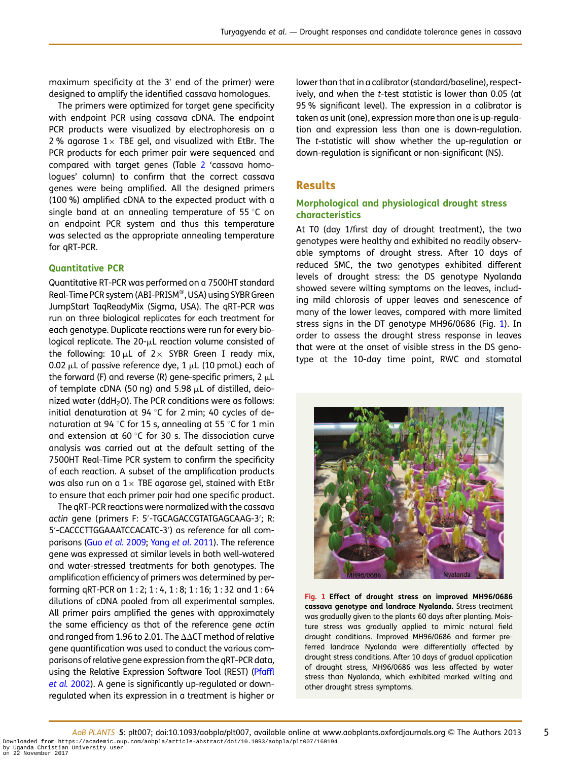<span id="page-4-0"></span>maximum specificity at the 3′ end of the primer) were designed to amplify the identified cassava homologues.

The primers were optimized for target gene specificity with endpoint PCR using cassava cDNA. The endpoint PCR products were visualized by electrophoresis on a 2% agarose  $1 \times$  TBE gel, and visualized with EtBr. The PCR products for each primer pair were sequenced and compared with target genes (Table [2](#page-6-0) 'cassava homologues' column) to confirm that the correct cassava genes were being amplified. All the designed primers (100 %) amplified cDNA to the expected product with a single band at an annealing temperature of 55 $\degree$ C on an endpoint PCR system and thus this temperature was selected as the appropriate annealing temperature for qRT-PCR.

## Quantitative PCR

Quantitative RT-PCR was performed on a 7500HT standard Real-Time PCR system (ABI-PRISM<sup>®</sup>, USA) using SYBR Green JumpStart TaqReadyMix (Sigma, USA). The qRT-PCR was run on three biological replicates for each treatment for each genotype. Duplicate reactions were run for every biological replicate. The  $20$ - $\mu$ L reaction volume consisted of the following: 10  $\mu$ L of 2 × SYBR Green I ready mix, 0.02  $\mu$ L of passive reference dye, 1  $\mu$ L (10 pmoL) each of the forward (F) and reverse (R) gene-specific primers,  $2 \mu L$ of template cDNA (50 ng) and 5.98  $\mu$ L of distilled, deionized water (ddH<sub>2</sub>O). The PCR conditions were as follows: initial denaturation at 94  $\degree$ C for 2 min; 40 cycles of denaturation at 94 °C for 15 s, annealing at 55 °C for 1 min and extension at 60 $\degree$ C for 30 s. The dissociation curve analysis was carried out at the default setting of the 7500HT Real-Time PCR system to confirm the specificity of each reaction. A subset of the amplification products was also run on a  $1 \times$  TBE agarose gel, stained with EtBr to ensure that each primer pair had one specific product.

The qRT-PCR reactions were normalized with the cassava actin gene (primers F: 5′ -TGCAGACCGTATGAGCAAG-3′ ; R: 5′ -CACCCTTGGAAATCCACATC-3′ ) as reference for all comparisons (Guo et al. [2009](#page-15-0); Yang et al[. 2011\)](#page-16-0). The reference gene was expressed at similar levels in both well-watered and water-stressed treatments for both genotypes. The amplification efficiency of primers was determined by performing qRT-PCR on 1 : 2; 1 : 4, 1 : 8; 1 : 16; 1 : 32 and 1 : 64 dilutions of cDNA pooled from all experimental samples. All primer pairs amplified the genes with approximately the same efficiency as that of the reference gene actin and ranged from 1.96 to 2.01. The  $\Delta\Delta$ CT method of relative gene quantification was used to conduct the various comparisons of relative gene expression from the qRT-PCR data, using the Relative Expression Software Tool (REST) [\(Pfaffl](#page-15-0) et al. [2002](#page-15-0)). A gene is significantly up-regulated or downregulated when its expression in a treatment is higher or lower than that in a calibrator (standard/baseline), respectively, and when the t-test statistic is lower than 0.05 (at 95 % significant level). The expression in a calibrator is taken as unit (one), expression more than one is up-regulation and expression less than one is down-regulation. The t-statistic will show whether the up-regulation or down-regulation is significant or non-significant (NS).

# Results

## Morphological and physiological drought stress characteristics

At T0 (day 1/first day of drought treatment), the two genotypes were healthy and exhibited no readily observable symptoms of drought stress. After 10 days of reduced SMC, the two genotypes exhibited different levels of drought stress: the DS genotype Nyalanda showed severe wilting symptoms on the leaves, including mild chlorosis of upper leaves and senescence of many of the lower leaves, compared with more limited stress signs in the DT genotype MH96/0686 (Fig. 1). In order to assess the drought stress response in leaves that were at the onset of visible stress in the DS genotype at the 10-day time point, RWC and stomatal



Fig. 1 Effect of drought stress on improved MH96/0686 cassava genotype and landrace Nyalanda. Stress treatment was gradually given to the plants 60 days after planting. Moisture stress was gradually applied to mimic natural field drought conditions. Improved MH96/0686 and farmer preferred landrace Nyalanda were differentially affected by drought stress conditions. After 10 days of gradual application of drought stress, MH96/0686 was less affected by water stress than Nyalanda, which exhibited marked wilting and other drought stress symptoms.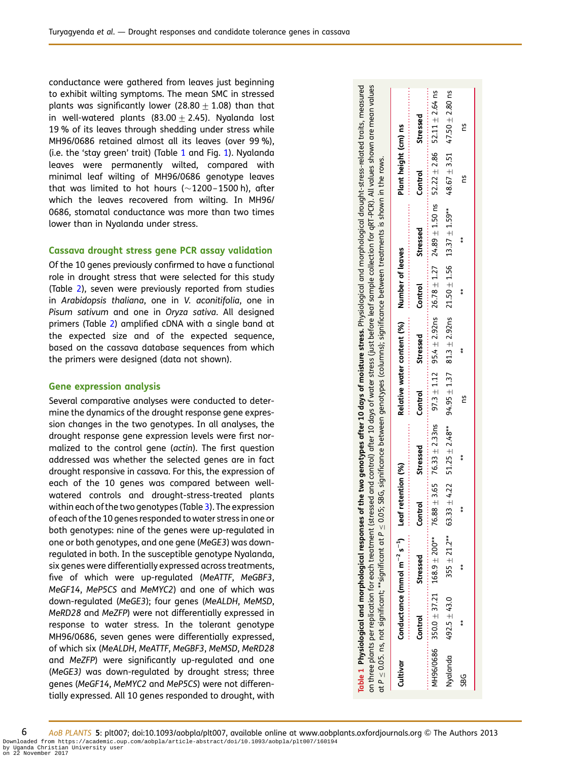<span id="page-5-0"></span>conductance were gathered from leaves just beginning to exhibit wilting symptoms. The mean SMC in stressed plants was significantly lower (28.80  $\pm$  1.08) than that in well-watered plants (83.00  $\pm$  2.45). Nyalanda lost 19 % of its leaves through shedding under stress while MH96/0686 retained almost all its leaves (over 99 %), (i.e. the 'stay green' trait) (Table 1 and Fig. [1](#page-4-0)). Nyalanda leaves were permanently wilted, compared with minimal leaf wilting of MH96/0686 genotype leaves that was limited to hot hours  $(\sim 1200-1500$  h), after which the leaves recovered from wilting. In MH96/ 0686, stomatal conductance was more than two times lower than in Nyalanda under stress.

#### Cassava drought stress gene PCR assay validation

Of the 10 genes previously confirmed to have a functional role in drought stress that were selected for this study (Table [2](#page-6-0)), seven were previously reported from studies in Arabidopsis thaliana, one in V. aconitifolia, one in Pisum sativum and one in Oryza sativa. All designed primers (Table [2\)](#page-6-0) amplified cDNA with a single band at the expected size and of the expected sequence, based on the cassava database sequences from which the primers were designed (data not shown).

#### Gene expression analysis

Several comparative analyses were conducted to determine the dynamics of the drought response gene expression changes in the two genotypes. In all analyses, the drought response gene expression levels were first normalized to the control gene (actin). The first question addressed was whether the selected genes are in fact drought responsive in cassava. For this, the expression of each of the 10 genes was compared between wellwatered controls and drought-stress-treated plants within each of the two genotypes (Table [3\)](#page-8-0). The expression of each of the 10 genes responded to water stress in one or both genotypes: nine of the genes were up-regulated in one or both genotypes, and one gene (MeGE3) was downregulated in both. In the susceptible genotype Nyalanda, six genes were differentially expressed across treatments, five of which were up-regulated (MeATTF, MeGBF3, MeGF14, MeP5CS and MeMYC2) and one of which was down-regulated (MeGE3); four genes (MeALDH, MeMSD, MeRD28 and MeZFP) were not differentially expressed in response to water stress. In the tolerant genotype MH96/0686, seven genes were differentially expressed, of which six (MeALDH, MeATTF, MeGBF3, MeMSD, MeRD28 and MeZFP) were significantly up-regulated and one (MeGE3) was down-regulated by drought stress; three genes (MeGF14, MeMYC2 and MeP5CS) were not differentially expressed. All 10 genes responded to drought, with

| Table 1 Physiological and morphological responses of the two genotypes after 10 days of moisture stress. Physiological ano morphological drought-stress-related traits, measured<br>on three plants per replication for each treatment (stressed and control) after 10 days of water stress (just before leaf sample collection for qRT-PCR). All values shown are mean values<br>at P $\leq$ 0.05. ns, not significant; **significant at P $\leq$ 0.05; SBG, significance between genotypes (columns); significance between treatments is shown in the rows. |                |                                                        |                  |                                |                            |                 |                  |                                                                                             |                      |                                      |
|---------------------------------------------------------------------------------------------------------------------------------------------------------------------------------------------------------------------------------------------------------------------------------------------------------------------------------------------------------------------------------------------------------------------------------------------------------------------------------------------------------------------------------------------------------------|----------------|--------------------------------------------------------|------------------|--------------------------------|----------------------------|-----------------|------------------|---------------------------------------------------------------------------------------------|----------------------|--------------------------------------|
| Cultivar                                                                                                                                                                                                                                                                                                                                                                                                                                                                                                                                                      |                | Conductance (mmol $m^{-2} s^{-1}$ ) Leaf retention (%) |                  |                                | Relative water content (%) |                 | Number of leaves |                                                                                             | Plant height (cm) ns |                                      |
|                                                                                                                                                                                                                                                                                                                                                                                                                                                                                                                                                               | Control        | Stressed                                               | Contro           | Stressed                       | Control                    | <b>Stressed</b> | Control          | Stressed                                                                                    | Control              | Stressed                             |
| <code>MH96/0686 350.0</code> $\pm$ 37.21 $168.9$ $\pm$ 200 $^{**}$                                                                                                                                                                                                                                                                                                                                                                                                                                                                                            |                |                                                        | 76.88            | $\pm$ 3.65 76.33 $\pm$ 2.33 ns | $97.3 \pm 1.12$            |                 |                  | 95.4 $\pm$ 2.92ns 26.78 $\pm$ 1.27 24.89 $\pm$ 1.50 ns 52.22 $\pm$ 2.86 52.11 $\pm$ 2.64 ns |                      |                                      |
| Nyalanda                                                                                                                                                                                                                                                                                                                                                                                                                                                                                                                                                      | $492.5 + 43.0$ | $355 \pm 21.2***$                                      | $+4.22$<br>63.33 | $51.25 \pm 2.48**$             |                            |                 |                  | $94.95 \pm 1.37$ $81.3 \pm 2.92$ ns $21.50 \pm 1.56$ $13.37 \pm 1.59$ **                    |                      | 48.67 $\pm$ 3.51 47.50 $\pm$ 2.80 ns |
| SBG                                                                                                                                                                                                                                                                                                                                                                                                                                                                                                                                                           | $\ast$         | $*$                                                    | $\ast$           | $\ast$                         | <b>29</b>                  | $*$             | $*$              | $\ast$                                                                                      | <b>29</b>            | 29                                   |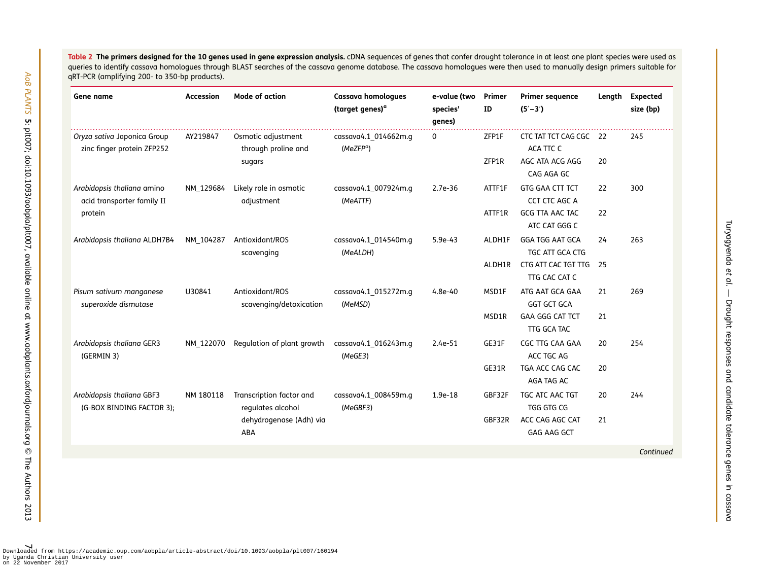<span id="page-6-0"></span>**Table 2 The primers designed for the 10 genes used in gene expression analysis.** cDNA sequences of genes that confer drought tolerance in at least one plant species were used as queries to identify cassava homologues through BLAST searches of the cassava genome database. The cassava homologues were then used to manually design primers suitable for qRT-PCR (amplifying 200- to 350-bp products).

| Gene name                                                 | Accession | <b>Mode of action</b>                         | <b>Cassava homologues</b><br>(target genes) <sup>a</sup> | e-value (two<br>species'<br>genes) | Primer<br>ID | <b>Primer sequence</b><br>$(5' - 3')$     | Length | <b>Expected</b><br>size (bp) |
|-----------------------------------------------------------|-----------|-----------------------------------------------|----------------------------------------------------------|------------------------------------|--------------|-------------------------------------------|--------|------------------------------|
| Oryza sativa Japonica Group<br>zinc finger protein ZFP252 | AY219847  | Osmotic adjustment<br>through proline and     | cassava4.1 014662m.q<br>(MeZFP <sup>a</sup> )            | 0                                  | ZFP1F        | CTC TAT TCT CAG CGC 22<br>ACA TTC C       |        | 245                          |
|                                                           |           | sugars                                        |                                                          |                                    | ZFP1R        | AGC ATA ACG AGG<br>CAG AGA GC             | 20     |                              |
| Arabidopsis thaliana amino<br>acid transporter family II  | NM 129684 | Likely role in osmotic<br>adjustment          | cassava4.1 007924m.q<br>(MeATTF)                         | $2.7e-36$                          | ATTF1F       | GTG GAA CTT TCT<br>CCT CTC AGC A          | 22     | 300                          |
| protein                                                   |           |                                               |                                                          |                                    | ATTF1R       | GCG TTA AAC TAC<br>ATC CAT GGG C          | 22     |                              |
| Arabidopsis thaliana ALDH7B4                              | NM_104287 | Antioxidant/ROS<br>scavenging                 | cassava4.1 014540m.q<br>(MeALDH)                         | $5.9e-43$                          | ALDH1F       | <b>GGA TGG AAT GCA</b><br>TGC ATT GCA CTG | 24     | 263                          |
|                                                           |           |                                               |                                                          |                                    | ALDH1R       | CTG ATT CAC TGT TTG<br>TTG CAC CAT C      | 25     |                              |
| Pisum sativum manganese<br>superoxide dismutase           | U30841    | Antioxidant/ROS<br>scavenging/detoxication    | cassava4.1 015272m.q<br>(MeMSD)                          | $4.8e-40$                          | MSD1F        | ATG AAT GCA GAA<br><b>GGT GCT GCA</b>     | 21     | 269                          |
|                                                           |           |                                               |                                                          |                                    | MSD1R        | <b>GAA GGG CAT TCT</b><br>TTG GCA TAC     | 21     |                              |
| Arabidopsis thaliana GER3<br>(GERMIN 3)                   | NM 122070 | Regulation of plant growth                    | cassava4.1 016243m.q<br>(MeGE3)                          | $2.4e-51$                          | GE31F        | CGC TTG CAA GAA<br>ACC TGC AG             | 20     | 254                          |
|                                                           |           |                                               |                                                          |                                    | GE31R        | TGA ACC CAG CAC<br>AGA TAG AC             | 20     |                              |
| Arabidopsis thaliana GBF3<br>(G-BOX BINDING FACTOR 3);    | NM 180118 | Transcription factor and<br>regulates alcohol | cassava4.1 008459m.q<br>(MeGBF3)                         | $1.9e-18$                          | GBF32F       | TGC ATC AAC TGT<br>TGG GTG CG             | 20     | 244                          |
|                                                           |           | dehydrogenase (Adh) via<br>ABA                |                                                          |                                    | GBF32R       | ACC CAG AGC CAT<br><b>GAG AAG GCT</b>     | 21     |                              |
|                                                           |           |                                               |                                                          |                                    |              |                                           |        | Continued                    |

Turyagyenda

Turyagyenda et al. -- Drought responses and candidate tolerance genes in cassava

. — Drought responses and candidate tolerance genes in cassava

7 Downloaded from https://academic.oup.com/aobpla/article-abstract/doi/10.1093/aobpla/plt007/160194 by Uganda Christian University useron 22 November 2017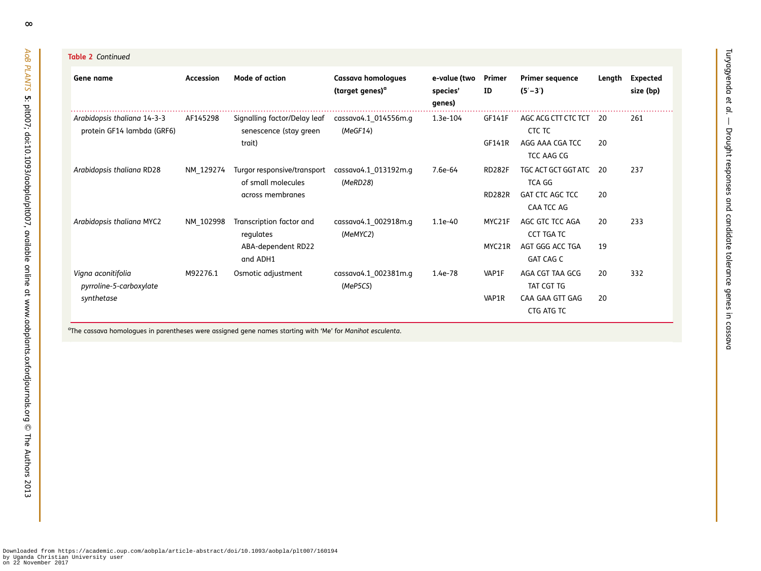| <b>Table 2</b> Continued                                  |           |                                                                  |                                                   |                                    |                  |                                                  |           |                              |
|-----------------------------------------------------------|-----------|------------------------------------------------------------------|---------------------------------------------------|------------------------------------|------------------|--------------------------------------------------|-----------|------------------------------|
| Gene name                                                 | Accession | Mode of action                                                   | Cassava homologues<br>(target genes) <sup>a</sup> | e-value (two<br>species'<br>genes) | Primer<br>ID     | <b>Primer sequence</b><br>$(5' - 3')$            | Length    | <b>Expected</b><br>size (bp) |
| Arabidopsis thaliana 14-3-3<br>protein GF14 lambda (GRF6) | AF145298  | Signalling factor/Delay leaf<br>senescence (stay green<br>trait) | cassava4.1 014556m.g<br>(MeGF14)                  | 1.3e-104                           | GF141F<br>GF141R | AGC ACG CTT CTC TCT<br>CTC TC<br>AGG AAA CGA TCC | -20<br>20 | 261                          |
| Arabidopsis thaliana RD28                                 | NM 129274 | Turgor responsive/transport<br>of small molecules                | cassava4.1 013192m.q<br>(MeRD28)                  | 7.6e-64                            | <b>RD282F</b>    | TCC AAG CG<br>TGC ACT GCT GGT ATC<br>TCA GG      | 20        | 237                          |
|                                                           |           | across membranes                                                 |                                                   |                                    | <b>RD282R</b>    | <b>GAT CTC AGC TCC</b><br>CAA TCC AG             | 20        |                              |
| Arabidopsis thaliana MYC2                                 | NM 102998 | Transcription factor and<br>regulates                            | cassava4.1 002918m.q<br>(MeMYC2)                  | $1.1e-40$                          | MYC21F           | AGC GTC TCC AGA<br><b>CCT TGA TC</b>             | 20        | 233                          |
|                                                           |           | ABA-dependent RD22<br>and ADH1                                   |                                                   |                                    | MYC21R           | AGT GGG ACC TGA<br><b>GAT CAG C</b>              | 19        |                              |
| Vigna aconitifolia<br>pyrroline-5-carboxylate             | M92276.1  | Osmotic adjustment                                               | cassava4.1_002381m.g<br>(MeP5CS)                  | 1.4e-78                            | VAP1F            | AGA CGT TAA GCG<br>TAT CGT TG                    | 20        | 332                          |
| synthetase                                                |           |                                                                  |                                                   |                                    | VAP1R            | CAA GAA GTT GAG<br>CTG ATG TC                    | 20        |                              |

Turyagyenda

Turyagyenda et al. -- Drought responses and candidate tolerance genes in cassava

. — Drought responses and candidate tolerance genes in cassava

aThe cassava homologues in parentheses were assigned gene names starting with 'Me' for Manihot esculenta.

AoB PLANTS

cл

Downloaded from https://academic.oup.com/aobpla/article-abstract/doi/10.1093/aobpla/plt007/160194 by Uganda Christian University user on 22 November 2017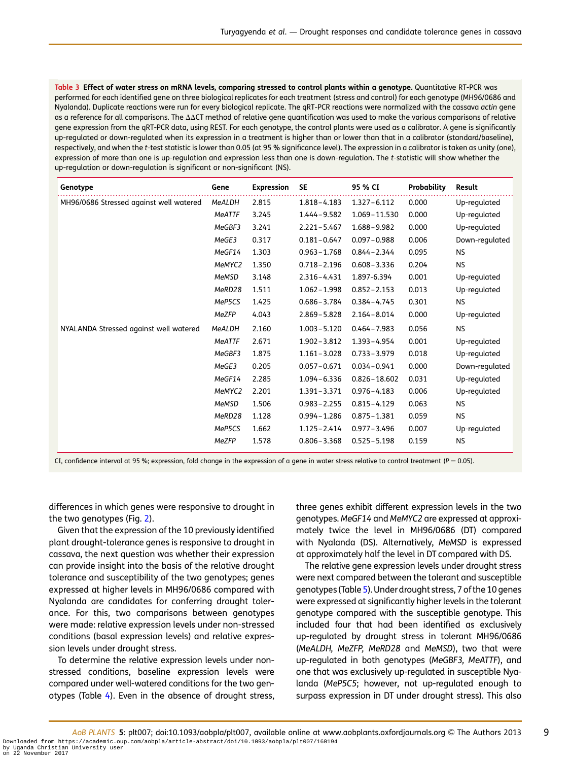<span id="page-8-0"></span>Table 3 Effect of water stress on mRNA levels, comparing stressed to control plants within a genotype. Quantitative RT-PCR was performed for each identified gene on three biological replicates for each treatment (stress and control) for each genotype (MH96/0686 and Nyalanda). Duplicate reactions were run for every biological replicate. The qRT-PCR reactions were normalized with the cassava actin gene as a reference for all comparisons. The  $\Delta\Delta CT$  method of relative gene quantification was used to make the various comparisons of relative gene expression from the qRT-PCR data, using REST. For each genotype, the control plants were used as a calibrator. A gene is significantly up-regulated or down-regulated when its expression in a treatment is higher than or lower than that in a calibrator (standard/baseline), respectively, and when the t-test statistic is lower than 0.05 (at 95 % significance level). The expression in a calibrator is taken as unity (one), expression of more than one is up-regulation and expression less than one is down-regulation. The t-statistic will show whether the up-regulation or down-regulation is significant or non-significant (NS).

| Genotype                                | Gene          | <b>Expression</b> | <b>SE</b>       | 95 % CI          | <b>Probability</b> | Result         |
|-----------------------------------------|---------------|-------------------|-----------------|------------------|--------------------|----------------|
| MH96/0686 Stressed against well watered | MeALDH        | 2.815             | $1.818 - 4.183$ | $1.327 - 6.112$  | 0.000              | Up-regulated   |
|                                         | <b>MeATTF</b> | 3.245             | $1.444 - 9.582$ | 1.069-11.530     | 0.000              | Up-regulated   |
|                                         | MeGBF3        | 3.241             | $2.221 - 5.467$ | $1.688 - 9.982$  | 0.000              | Up-regulated   |
|                                         | MeGE3         | 0.317             | $0.181 - 0.647$ | $0.097 - 0.988$  | 0.006              | Down-regulated |
|                                         | MeGF14        | 1.303             | $0.963 - 1.768$ | $0.844 - 2.344$  | 0.095              | <b>NS</b>      |
|                                         | MeMYC2        | 1.350             | $0.718 - 2.196$ | $0.608 - 3.336$  | 0.204              | <b>NS</b>      |
|                                         | <b>MeMSD</b>  | 3.148             | $2.316 - 4.431$ | 1.897-6.394      | 0.001              | Up-regulated   |
|                                         | MeRD28        | 1.511             | $1.062 - 1.998$ | $0.852 - 2.153$  | 0.013              | Up-regulated   |
|                                         | MeP5CS        | 1.425             | $0.686 - 3.784$ | $0.384 - 4.745$  | 0.301              | <b>NS</b>      |
|                                         | MeZFP         | 4.043             | $2.869 - 5.828$ | $2.164 - 8.014$  | 0.000              | Up-regulated   |
| NYALANDA Stressed against well watered  | <b>MeALDH</b> | 2.160             | $1.003 - 5.120$ | $0.464 - 7.983$  | 0.056              | <b>NS</b>      |
|                                         | <b>MeATTF</b> | 2.671             | $1.902 - 3.812$ | $1.393 - 4.954$  | 0.001              | Up-regulated   |
|                                         | MeGBF3        | 1.875             | $1.161 - 3.028$ | $0.733 - 3.979$  | 0.018              | Up-regulated   |
|                                         | MeGE3         | 0.205             | $0.057 - 0.671$ | $0.034 - 0.941$  | 0.000              | Down-regulated |
|                                         | MeGF14        | 2.285             | $1.094 - 6.336$ | $0.826 - 18.602$ | 0.031              | Up-regulated   |
|                                         | MeMYC2        | 2.201             | $1.391 - 3.371$ | $0.976 - 4.183$  | 0.006              | Up-regulated   |
|                                         | <b>MeMSD</b>  | 1.506             | $0.983 - 2.255$ | $0.815 - 4.129$  | 0.063              | <b>NS</b>      |
|                                         | MeRD28        | 1.128             | $0.994 - 1.286$ | $0.875 - 1.381$  | 0.059              | <b>NS</b>      |
|                                         | MeP5CS        | 1.662             | $1.125 - 2.414$ | $0.977 - 3.496$  | 0.007              | Up-regulated   |
|                                         | MeZFP         | 1.578             | $0.806 - 3.368$ | $0.525 - 5.198$  | 0.159              | <b>NS</b>      |

CI, confidence interval at 95 %; expression, fold change in the expression of a gene in water stress relative to control treatment ( $P = 0.05$ ).

differences in which genes were responsive to drought in the two genotypes (Fig. [2\)](#page-9-0).

Given that the expression of the 10 previously identified plant drought-tolerance genes is responsive to drought in cassava, the next question was whether their expression can provide insight into the basis of the relative drought tolerance and susceptibility of the two genotypes; genes expressed at higher levels in MH96/0686 compared with Nyalanda are candidates for conferring drought tolerance. For this, two comparisons between genotypes were made: relative expression levels under non-stressed conditions (basal expression levels) and relative expression levels under drought stress.

To determine the relative expression levels under nonstressed conditions, baseline expression levels were compared under well-watered conditions for the two genotypes (Table [4\)](#page-10-0). Even in the absence of drought stress, three genes exhibit different expression levels in the two genotypes. MeGF14 and MeMYC2 are expressed at approximately twice the level in MH96/0686 (DT) compared with Nyalanda (DS). Alternatively, MeMSD is expressed at approximately half the level in DT compared with DS.

The relative gene expression levels under drought stress were next compared between the tolerant and susceptible genotypes (Table [5\)](#page-11-0). Underdrought stress, 7 of the 10 genes were expressed at significantly higher levels in the tolerant genotype compared with the susceptible genotype. This included four that had been identified as exclusively up-regulated by drought stress in tolerant MH96/0686 (MeALDH, MeZFP, MeRD28 and MeMSD), two that were up-regulated in both genotypes (MeGBF3, MeATTF), and one that was exclusively up-regulated in susceptible Nyalanda (MeP5C5; however, not up-regulated enough to surpass expression in DT under drought stress). This also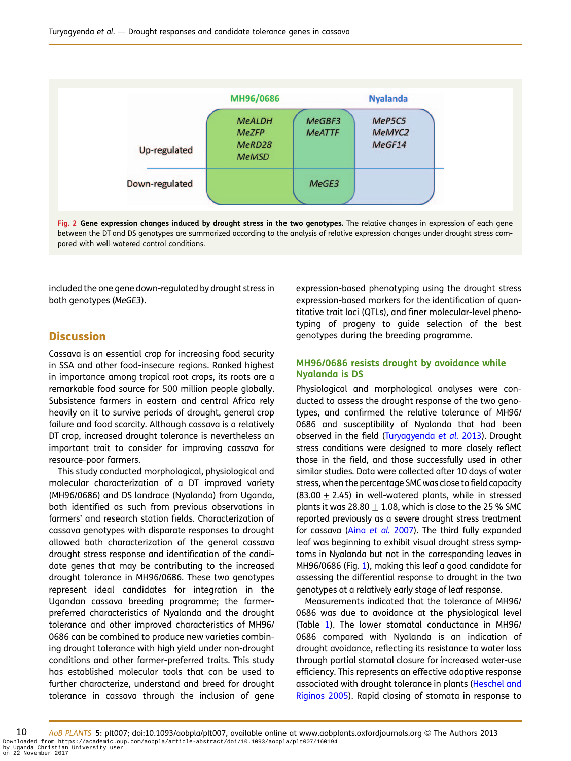<span id="page-9-0"></span>

|                | MH96/0686                                               |                         | <b>Nyalanda</b>                        |
|----------------|---------------------------------------------------------|-------------------------|----------------------------------------|
| Up-regulated   | <b>MeALDH</b><br><b>MeZFP</b><br>MeRD28<br><b>MeMSD</b> | MeGBF3<br><b>MeATTF</b> | MeP5C5<br>MeMYC <sub>2</sub><br>MeGF14 |
| Down-regulated |                                                         | MeGE3                   |                                        |

Fig. 2 Gene expression changes induced by drought stress in the two genotypes. The relative changes in expression of each gene between the DT and DS genotypes are summarized according to the analysis of relative expression changes under drought stress compared with well-watered control conditions.

included the one gene down-regulated by drought stress in both genotypes (MeGE3).

# **Discussion**

Cassava is an essential crop for increasing food security in SSA and other food-insecure regions. Ranked highest in importance among tropical root crops, its roots are a remarkable food source for 500 million people globally. Subsistence farmers in eastern and central Africa rely heavily on it to survive periods of drought, general crop failure and food scarcity. Although cassava is a relatively DT crop, increased drought tolerance is nevertheless an important trait to consider for improving cassava for resource-poor farmers.

This study conducted morphological, physiological and molecular characterization of a DT improved variety (MH96/0686) and DS landrace (Nyalanda) from Uganda, both identified as such from previous observations in farmers' and research station fields. Characterization of cassava genotypes with disparate responses to drought allowed both characterization of the general cassava drought stress response and identification of the candidate genes that may be contributing to the increased drought tolerance in MH96/0686. These two genotypes represent ideal candidates for integration in the Ugandan cassava breeding programme; the farmerpreferred characteristics of Nyalanda and the drought tolerance and other improved characteristics of MH96/ 0686 can be combined to produce new varieties combining drought tolerance with high yield under non-drought conditions and other farmer-preferred traits. This study has established molecular tools that can be used to further characterize, understand and breed for drought tolerance in cassava through the inclusion of gene

expression-based phenotyping using the drought stress expression-based markers for the identification of quantitative trait loci (QTLs), and finer molecular-level phenotyping of progeny to guide selection of the best genotypes during the breeding programme.

## MH96/0686 resists drought by avoidance while Nyalanda is DS

Physiological and morphological analyses were conducted to assess the drought response of the two genotypes, and confirmed the relative tolerance of MH96/ 0686 and susceptibility of Nyalanda that had been observed in the field ([Turyagyenda](#page-16-0) et al. 2013). Drought stress conditions were designed to more closely reflect those in the field, and those successfully used in other similar studies. Data were collected after 10 days of water stress, when the percentage SMCwas close to field capacity (83.00  $\pm$  2.45) in well-watered plants, while in stressed plants it was  $28.80 + 1.08$ , which is close to the 25 % SMC reported previously as a severe drought stress treatment for cassava (Aina [et al.](#page-14-0) 2007). The third fully expanded leaf was beginning to exhibit visual drought stress symptoms in Nyalanda but not in the corresponding leaves in MH96/0686 (Fig. [1\)](#page-4-0), making this leaf a good candidate for assessing the differential response to drought in the two genotypes at a relatively early stage of leaf response.

Measurements indicated that the tolerance of MH96/ 0686 was due to avoidance at the physiological level (Table [1](#page-5-0)). The lower stomatal conductance in MH96/ 0686 compared with Nyalanda is an indication of drought avoidance, reflecting its resistance to water loss through partial stomatal closure for increased water-use efficiency. This represents an effective adaptive response associated with drought tolerance in plants ([Heschel and](#page-15-0) [Riginos 2005](#page-15-0)). Rapid closing of stomata in response to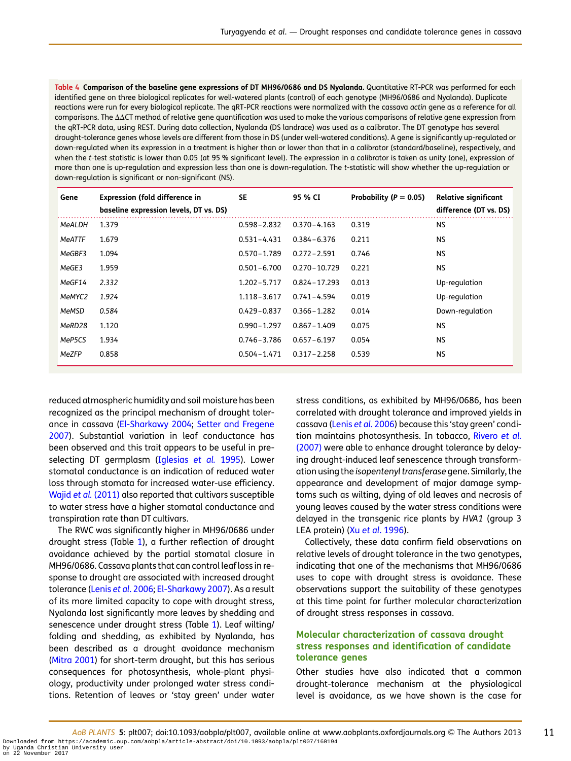<span id="page-10-0"></span>Table 4 Comparison of the baseline gene expressions of DT MH96/0686 and DS Nyalanda. Quantitative RT-PCR was performed for each identified gene on three biological replicates for well-watered plants (control) of each genotype (MH96/0686 and Nyalanda). Duplicate reactions were run for every biological replicate. The qRT-PCR reactions were normalized with the cassava actin gene as a reference for all  $comparisons. The  $\Delta\Delta CT$  method of relative gene quantification was used to make the various comparisons of relative gene expression from$ the qRT-PCR data, using REST. During data collection, Nyalanda (DS landrace) was used as a calibrator. The DT genotype has several drought-tolerance genes whose levels are different from those in DS (under well-watered conditions). A gene is significantly up-regulated or down-regulated when its expression in a treatment is higher than or lower than that in a calibrator (standard/baseline), respectively, and when the t-test statistic is lower than 0.05 (at 95 % significant level). The expression in a calibrator is taken as unity (one), expression of more than one is up-regulation and expression less than one is down-regulation. The t-statistic will show whether the up-regulation or down-regulation is significant or non-significant (NS).

| Gene          | <b>Expression (fold difference in</b><br>baseline expression levels, DT vs. DS) | <b>SE</b>       | 95 % CI          | Probability ( $P = 0.05$ ) | Relative significant<br>difference (DT vs. DS) |
|---------------|---------------------------------------------------------------------------------|-----------------|------------------|----------------------------|------------------------------------------------|
| MeALDH        | 1.379                                                                           | $0.598 - 2.832$ | $0.370 - 4.163$  | 0.319                      | <b>NS</b>                                      |
| <b>MeATTF</b> | 1.679                                                                           | $0.531 - 4.431$ | $0.384 - 6.376$  | 0.211                      | <b>NS</b>                                      |
| MeGBF3        | 1.094                                                                           | $0.570 - 1.789$ | $0.272 - 2.591$  | 0.746                      | NS.                                            |
| MeGE3         | 1.959                                                                           | $0.501 - 6.700$ | $0.270 - 10.729$ | 0.221                      | NS.                                            |
| MeGF14        | 2.332                                                                           | $1.202 - 5.717$ | $0.824 - 17.293$ | 0.013                      | Up-regulation                                  |
| MeMYC2        | 1.924                                                                           | $1.118 - 3.617$ | $0.741 - 4.594$  | 0.019                      | Up-regulation                                  |
| MeMSD         | 0.584                                                                           | $0.429 - 0.837$ | $0.366 - 1.282$  | 0.014                      | Down-regulation                                |
| MeRD28        | 1.120                                                                           | $0.990 - 1.297$ | $0.867 - 1.409$  | 0.075                      | <b>NS</b>                                      |
| MeP5CS        | 1.934                                                                           | $0.746 - 3.786$ | $0.657 - 6.197$  | 0.054                      | <b>NS</b>                                      |
| MeZFP         | 0.858                                                                           | $0.504 - 1.471$ | $0.317 - 2.258$  | 0.539                      | <b>NS</b>                                      |

reduced atmospheric humidity and soil moisture has been recognized as the principal mechanism of drought tolerance in cassava ([El-Sharkawy 2004](#page-15-0); [Setter and Fregene](#page-16-0) [2007\)](#page-16-0). Substantial variation in leaf conductance has been observed and this trait appears to be useful in pre-selecting DT germplasm ([Iglesias](#page-15-0) et al. 1995). Lower stomatal conductance is an indication of reduced water loss through stomata for increased water-use efficiency. Wajid et al. [\(2011\)](#page-16-0) also reported that cultivars susceptible to water stress have a higher stomatal conductance and transpiration rate than DT cultivars.

The RWC was significantly higher in MH96/0686 under drought stress (Table [1\)](#page-5-0), a further reflection of drought avoidance achieved by the partial stomatal closure in MH96/0686. Cassava plants that can control leaf loss in response to drought are associated with increased drought tolerance (Lenis et al[. 2006;](#page-15-0) [El-Sharkawy 2007](#page-15-0)). As a result of its more limited capacity to cope with drought stress, Nyalanda lost significantly more leaves by shedding and senescence under drought stress (Table [1](#page-5-0)). Leaf wilting/ folding and shedding, as exhibited by Nyalanda, has been described as a drought avoidance mechanism [\(Mitra 2001\)](#page-15-0) for short-term drought, but this has serious consequences for photosynthesis, whole-plant physiology, productivity under prolonged water stress conditions. Retention of leaves or 'stay green' under water

stress conditions, as exhibited by MH96/0686, has been correlated with drought tolerance and improved yields in cassava [\(Lenis](#page-15-0) et al. 2006) because this 'stay green' condi-tion maintains photosynthesis. In tobacco, [Rivero](#page-15-0) et al. [\(2007\)](#page-15-0) were able to enhance drought tolerance by delaying drought-induced leaf senescence through transformation using the isopentenyl transferase gene. Similarly, the appearance and development of major damage symptoms such as wilting, dying of old leaves and necrosis of young leaves caused by the water stress conditions were delayed in the transgenic rice plants by HVA1 (group 3 LEA protein) (Xu et al[. 1996](#page-16-0)).

Collectively, these data confirm field observations on relative levels of drought tolerance in the two genotypes, indicating that one of the mechanisms that MH96/0686 uses to cope with drought stress is avoidance. These observations support the suitability of these genotypes at this time point for further molecular characterization of drought stress responses in cassava.

## Molecular characterization of cassava drought stress responses and identification of candidate tolerance genes

Other studies have also indicated that a common drought-tolerance mechanism at the physiological level is avoidance, as we have shown is the case for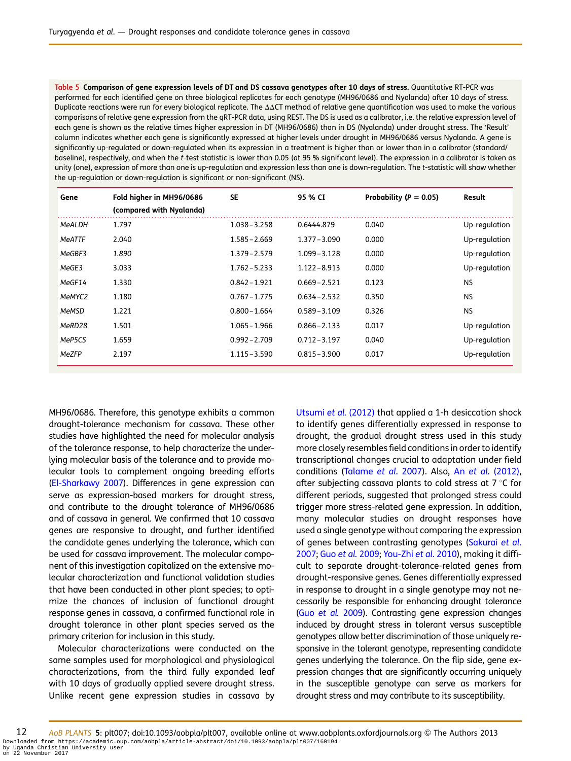<span id="page-11-0"></span>Table 5 Comparison of gene expression levels of DT and DS cassava genotypes after 10 days of stress. Quantitative RT-PCR was performed for each identified gene on three biological replicates for each genotype (MH96/0686 and Nyalanda) after 10 days of stress. Duplicate reactions were run for every biological replicate. The  $\Delta\Delta CT$  method of relative gene quantification was used to make the various comparisons of relative gene expression from the qRT-PCR data, using REST. The DS is used as a calibrator, i.e. the relative expression level of each gene is shown as the relative times higher expression in DT (MH96/0686) than in DS (Nyalanda) under drought stress. The 'Result' column indicates whether each gene is significantly expressed at higher levels under drought in MH96/0686 versus Nyalanda. A gene is significantly up-regulated or down-regulated when its expression in a treatment is higher than or lower than in a calibrator (standard/ baseline), respectively, and when the t-test statistic is lower than 0.05 (at 95 % significant level). The expression in a calibrator is taken as unity (one), expression of more than one is up-regulation and expression less than one is down-regulation. The t-statistic will show whether the up-regulation or down-regulation is significant or non-significant (NS).

| Gene   | Fold higher in MH96/0686<br>(compared with Nyalanda) | <b>SE</b>       | 95 % CI         | Probability ( $P = 0.05$ ) | Result        |
|--------|------------------------------------------------------|-----------------|-----------------|----------------------------|---------------|
| MeALDH | 1.797                                                | $1.038 - 3.258$ | 0.6444.879      | 0.040                      | Up-regulation |
| MeATTF | 2.040                                                | $1.585 - 2.669$ | $1.377 - 3.090$ | 0.000                      | Up-regulation |
| MeGBF3 | 1.890                                                | $1.379 - 2.579$ | $1.099 - 3.128$ | 0.000                      | Up-regulation |
| MeGE3  | 3.033                                                | $1.762 - 5.233$ | $1.122 - 8.913$ | 0.000                      | Up-regulation |
| MeGF14 | 1.330                                                | $0.842 - 1.921$ | $0.669 - 2.521$ | 0.123                      | NS.           |
| MeMYC2 | 1.180                                                | $0.767 - 1.775$ | $0.634 - 2.532$ | 0.350                      | NS.           |
| MeMSD  | 1.221                                                | $0.800 - 1.664$ | $0.589 - 3.109$ | 0.326                      | NS.           |
| MeRD28 | 1.501                                                | $1.065 - 1.966$ | $0.866 - 2.133$ | 0.017                      | Up-regulation |
| MeP5CS | 1.659                                                | $0.992 - 2.709$ | $0.712 - 3.197$ | 0.040                      | Up-regulation |
| MeZFP  | 2.197                                                | $1.115 - 3.590$ | $0.815 - 3.900$ | 0.017                      | Up-regulation |

MH96/0686. Therefore, this genotype exhibits a common drought-tolerance mechanism for cassava. These other studies have highlighted the need for molecular analysis of the tolerance response, to help characterize the underlying molecular basis of the tolerance and to provide molecular tools to complement ongoing breeding efforts [\(El-Sharkawy 2007\)](#page-15-0). Differences in gene expression can serve as expression-based markers for drought stress, and contribute to the drought tolerance of MH96/0686 and of cassava in general. We confirmed that 10 cassava genes are responsive to drought, and further identified the candidate genes underlying the tolerance, which can be used for cassava improvement. The molecular component of this investigation capitalized on the extensive molecular characterization and functional validation studies that have been conducted in other plant species; to optimize the chances of inclusion of functional drought response genes in cassava, a confirmed functional role in drought tolerance in other plant species served as the primary criterion for inclusion in this study.

Molecular characterizations were conducted on the same samples used for morphological and physiological characterizations, from the third fully expanded leaf with 10 days of gradually applied severe drought stress. Unlike recent gene expression studies in cassava by [Utsumi](#page-16-0) et al. (2012) that applied a 1-h desiccation shock to identify genes differentially expressed in response to drought, the gradual drought stress used in this study more closely resembles field conditions in order to identify transcriptional changes crucial to adaptation under field conditions [\(Talame](#page-16-0) et al. 2007). Also, An et al. [\(2012\),](#page-14-0) after subjecting cassava plants to cold stress at 7  $\degree$ C for different periods, suggested that prolonged stress could trigger more stress-related gene expression. In addition, many molecular studies on drought responses have used a single genotype without comparing the expression of genes between contrasting genotypes [\(Sakurai](#page-16-0) et al. [2007;](#page-16-0) Guo et al. [2009;](#page-15-0) [You-Zhi](#page-16-0) et al. 2010), making it difficult to separate drought-tolerance-related genes from drought-responsive genes. Genes differentially expressed in response to drought in a single genotype may not necessarily be responsible for enhancing drought tolerance (Guo [et al.](#page-15-0) 2009). Contrasting gene expression changes induced by drought stress in tolerant versus susceptible genotypes allow better discrimination of those uniquely responsive in the tolerant genotype, representing candidate genes underlying the tolerance. On the flip side, gene expression changes that are significantly occurring uniquely in the susceptible genotype can serve as markers for drought stress and may contribute to its susceptibility.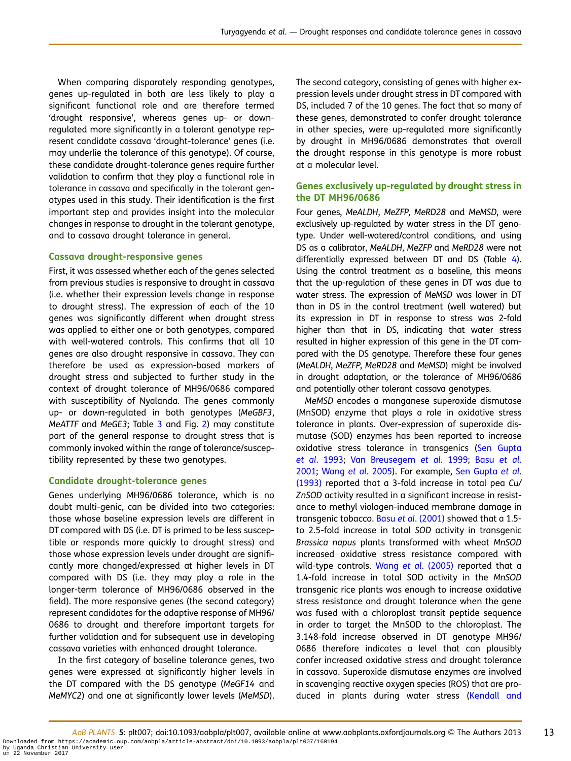When comparing disparately responding genotypes, genes up-regulated in both are less likely to play a significant functional role and are therefore termed 'drought responsive', whereas genes up- or downregulated more significantly in a tolerant genotype represent candidate cassava 'drought-tolerance' genes (i.e. may underlie the tolerance of this genotype). Of course, these candidate drought-tolerance genes require further validation to confirm that they play a functional role in tolerance in cassava and specifically in the tolerant genotypes used in this study. Their identification is the first important step and provides insight into the molecular changes in response to drought in the tolerant genotype, and to cassava drought tolerance in general.

#### Cassava drought-responsive genes

First, it was assessed whether each of the genes selected from previous studies is responsive to drought in cassava (i.e. whether their expression levels change in response to drought stress). The expression of each of the 10 genes was significantly different when drought stress was applied to either one or both genotypes, compared with well-watered controls. This confirms that all 10 genes are also drought responsive in cassava. They can therefore be used as expression-based markers of drought stress and subjected to further study in the context of drought tolerance of MH96/0686 compared with susceptibility of Nyalanda. The genes commonly up- or down-regulated in both genotypes (MeGBF3, MeATTF and MeGE3; Table [3](#page-8-0) and Fig. [2\)](#page-9-0) may constitute part of the general response to drought stress that is commonly invoked within the range of tolerance/susceptibility represented by these two genotypes.

#### Candidate drought-tolerance genes

Genes underlying MH96/0686 tolerance, which is no doubt multi-genic, can be divided into two categories: those whose baseline expression levels are different in DT compared with DS (i.e. DT is primed to be less susceptible or responds more quickly to drought stress) and those whose expression levels under drought are significantly more changed/expressed at higher levels in DT compared with DS (i.e. they may play a role in the longer-term tolerance of MH96/0686 observed in the field). The more responsive genes (the second category) represent candidates for the adaptive response of MH96/ 0686 to drought and therefore important targets for further validation and for subsequent use in developing cassava varieties with enhanced drought tolerance.

In the first category of baseline tolerance genes, two genes were expressed at significantly higher levels in the DT compared with the DS genotype (MeGF14 and MeMYC2) and one at significantly lower levels (MeMSD).

The second category, consisting of genes with higher expression levels under drought stress in DT compared with DS, included 7 of the 10 genes. The fact that so many of these genes, demonstrated to confer drought tolerance in other species, were up-regulated more significantly by drought in MH96/0686 demonstrates that overall the drought response in this genotype is more robust at a molecular level.

### Genes exclusively up-regulated by drought stress in the DT MH96/0686

Four genes, MeALDH, MeZFP, MeRD28 and MeMSD, were exclusively up-regulated by water stress in the DT genotype. Under well-watered/control conditions, and using DS as a calibrator, MeALDH, MeZFP and MeRD28 were not differentially expressed between DT and DS (Table [4](#page-10-0)). Using the control treatment as a baseline, this means that the up-regulation of these genes in DT was due to water stress. The expression of MeMSD was lower in DT than in DS in the control treatment (well watered) but its expression in DT in response to stress was 2-fold higher than that in DS, indicating that water stress resulted in higher expression of this gene in the DT compared with the DS genotype. Therefore these four genes (MeALDH, MeZFP, MeRD28 and MeMSD) might be involved in drought adaptation, or the tolerance of MH96/0686 and potentially other tolerant cassava genotypes.

MeMSD encodes a manganese superoxide dismutase (MnSOD) enzyme that plays a role in oxidative stress tolerance in plants. Over-expression of superoxide dismutase (SOD) enzymes has been reported to increase oxidative stress tolerance in transgenics [\(Sen Gupta](#page-16-0) et al[. 1993](#page-16-0); [Van Breusegem](#page-16-0) et al. 1999; Basu [et al](#page-14-0). [2001;](#page-14-0) Wang et al[. 2005](#page-16-0)). For example, [Sen Gupta](#page-16-0) et al. [\(1993\)](#page-16-0) reported that a 3-fold increase in total pea Cu/ ZnSOD activity resulted in a significant increase in resistance to methyl viologen-induced membrane damage in transgenic tobacco. Basu et al[. \(2001\)](#page-14-0) showed that a 1.5to 2.5-fold increase in total SOD activity in transgenic Brassica napus plants transformed with wheat MnSOD increased oxidative stress resistance compared with wild-type controls. Wang et al[. \(2005\)](#page-16-0) reported that a 1.4-fold increase in total SOD activity in the MnSOD transgenic rice plants was enough to increase oxidative stress resistance and drought tolerance when the gene was fused with a chloroplast transit peptide sequence in order to target the MnSOD to the chloroplast. The 3.148-fold increase observed in DT genotype MH96/ 0686 therefore indicates a level that can plausibly confer increased oxidative stress and drought tolerance in cassava. Superoxide dismutase enzymes are involved in scavenging reactive oxygen species (ROS) that are pro-duced in plants during water stress ([Kendall and](#page-15-0)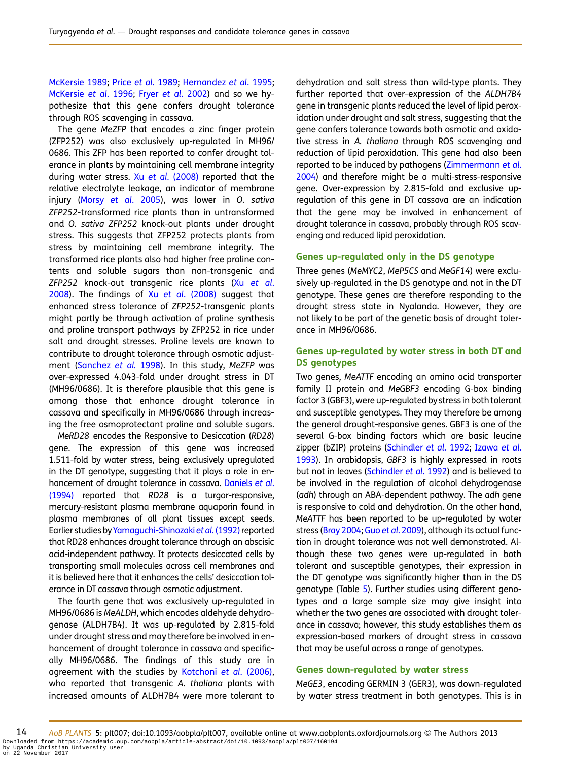[McKersie 1989;](#page-15-0) Price et al[. 1989](#page-15-0); [Hernandez](#page-15-0) et al. 1995; [McKersie](#page-15-0) et al. 1996; Fryer et al[. 2002](#page-15-0)) and so we hypothesize that this gene confers drought tolerance through ROS scavenging in cassava.

The gene MeZFP that encodes a zinc finger protein (ZFP252) was also exclusively up-regulated in MH96/ 0686. This ZFP has been reported to confer drought tolerance in plants by maintaining cell membrane integrity during water stress. Xu et al[. \(2008\)](#page-16-0) reported that the relative electrolyte leakage, an indicator of membrane injury (Morsy et al[. 2005\)](#page-15-0), was lower in O. sativa ZFP252-transformed rice plants than in untransformed and O. sativa ZFP252 knock-out plants under drought stress. This suggests that ZFP252 protects plants from stress by maintaining cell membrane integrity. The transformed rice plants also had higher free proline contents and soluble sugars than non-transgenic and ZFP252 knock-out transgenic rice plants (Xu [et al](#page-16-0). [2008\)](#page-16-0). The findings of Xu et al[. \(2008\)](#page-16-0) suggest that enhanced stress tolerance of ZFP252-transgenic plants might partly be through activation of proline synthesis and proline transport pathways by ZFP252 in rice under salt and drought stresses. Proline levels are known to contribute to drought tolerance through osmotic adjustment ([Sanchez](#page-16-0) et al. 1998). In this study, MeZFP was over-expressed 4.043-fold under drought stress in DT (MH96/0686). It is therefore plausible that this gene is among those that enhance drought tolerance in cassava and specifically in MH96/0686 through increasing the free osmoprotectant proline and soluble sugars.

MeRD28 encodes the Responsive to Desiccation (RD28) gene. The expression of this gene was increased 1.511-fold by water stress, being exclusively upregulated in the DT genotype, suggesting that it plays a role in enhancement of drought tolerance in cassava. [Daniels](#page-15-0) et al. [\(1994\)](#page-15-0) reported that RD28 is a turgor-responsive, mercury-resistant plasma membrane aquaporin found in plasma membranes of all plant tissues except seeds. Earlier studies by [Yamaguchi-Shinozaki](#page-16-0) et al. (1992) reported that RD28 enhances drought tolerance through an abscisic acid-independent pathway. It protects desiccated cells by transporting small molecules across cell membranes and it is believed here that it enhances the cells' desiccation tolerance in DT cassava through osmotic adjustment.

The fourth gene that was exclusively up-regulated in MH96/0686 is MeALDH, which encodes aldehyde dehydrogenase (ALDH7B4). It was up-regulated by 2.815-fold under drought stress and may therefore be involved in enhancement of drought tolerance in cassava and specifically MH96/0686. The findings of this study are in agreement with the studies by [Kotchoni](#page-15-0) et al. (2006), who reported that transgenic A. thaliana plants with increased amounts of ALDH7B4 were more tolerant to dehydration and salt stress than wild-type plants. They further reported that over-expression of the ALDH7B4 gene in transgenic plants reduced the level of lipid peroxidation under drought and salt stress, suggesting that the gene confers tolerance towards both osmotic and oxidative stress in A. thaliana through ROS scavenging and reduction of lipid peroxidation. This gene had also been reported to be induced by pathogens ([Zimmermann](#page-16-0) et al. [2004](#page-16-0)) and therefore might be a multi-stress-responsive gene. Over-expression by 2.815-fold and exclusive upregulation of this gene in DT cassava are an indication that the gene may be involved in enhancement of drought tolerance in cassava, probably through ROS scavenging and reduced lipid peroxidation.

#### Genes up-regulated only in the DS genotype

Three genes (MeMYC2, MeP5CS and MeGF14) were exclusively up-regulated in the DS genotype and not in the DT genotype. These genes are therefore responding to the drought stress state in Nyalanda. However, they are not likely to be part of the genetic basis of drought tolerance in MH96/0686.

## Genes up-regulated by water stress in both DT and DS genotypes

Two genes, MeATTF encoding an amino acid transporter family II protein and MeGBF3 encoding G-box binding factor 3 (GBF3), were up-regulated by stress in both tolerant and susceptible genotypes. They may therefore be among the general drought-responsive genes. GBF3 is one of the several G-box binding factors which are basic leucine zipper (bZIP) proteins [\(Schindler](#page-16-0) et al. 1992; [Izawa](#page-15-0) et al. [1993](#page-15-0)). In arabidopsis, GBF3 is highly expressed in roots but not in leaves [\(Schindler](#page-16-0) et al. 1992) and is believed to be involved in the regulation of alcohol dehydrogenase (adh) through an ABA-dependent pathway. The adh gene is responsive to cold and dehydration. On the other hand, MeATTF has been reported to be up-regulated by water stress ([Bray 2004;](#page-14-0) Guo et al[. 2009\)](#page-15-0), although its actual function in drought tolerance was not well demonstrated. Although these two genes were up-regulated in both tolerant and susceptible genotypes, their expression in the DT genotype was significantly higher than in the DS genotype (Table [5](#page-11-0)). Further studies using different genotypes and a large sample size may give insight into whether the two genes are associated with drought tolerance in cassava; however, this study establishes them as expression-based markers of drought stress in cassava that may be useful across a range of genotypes.

#### Genes down-regulated by water stress

MeGE3, encoding GERMIN 3 (GER3), was down-regulated by water stress treatment in both genotypes. This is in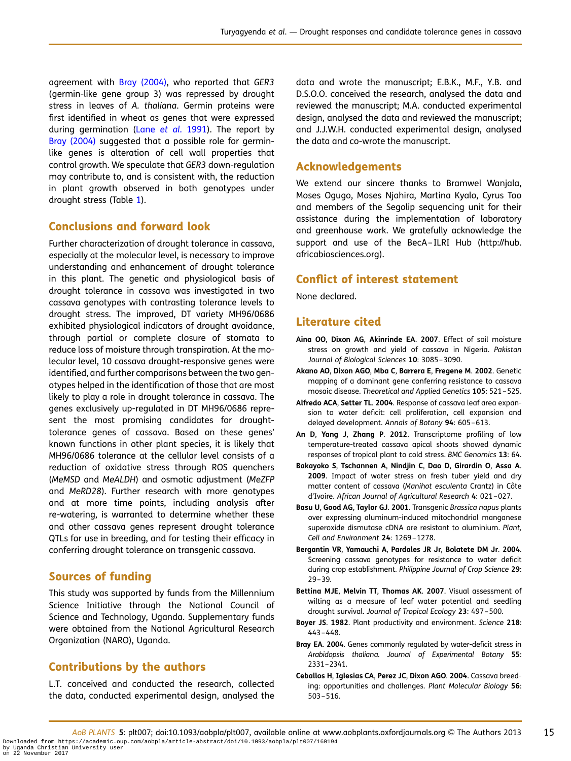<span id="page-14-0"></span>agreement with Bray (2004), who reported that GER3 (germin-like gene group 3) was repressed by drought stress in leaves of A. thaliana. Germin proteins were first identified in wheat as genes that were expressed during germination (Lane et al[. 1991\)](#page-15-0). The report by Bray (2004) suggested that a possible role for germinlike genes is alteration of cell wall properties that control growth. We speculate that GER3 down-regulation may contribute to, and is consistent with, the reduction in plant growth observed in both genotypes under drought stress (Table [1](#page-5-0)).

# Conclusions and forward look

Further characterization of drought tolerance in cassava, especially at the molecular level, is necessary to improve understanding and enhancement of drought tolerance in this plant. The genetic and physiological basis of drought tolerance in cassava was investigated in two cassava genotypes with contrasting tolerance levels to drought stress. The improved, DT variety MH96/0686 exhibited physiological indicators of drought avoidance, through partial or complete closure of stomata to reduce loss of moisture through transpiration. At the molecular level, 10 cassava drought-responsive genes were identified, and further comparisons between the two genotypes helped in the identification of those that are most likely to play a role in drought tolerance in cassava. The genes exclusively up-regulated in DT MH96/0686 represent the most promising candidates for droughttolerance genes of cassava. Based on these genes' known functions in other plant species, it is likely that MH96/0686 tolerance at the cellular level consists of a reduction of oxidative stress through ROS quenchers (MeMSD and MeALDH) and osmotic adjustment (MeZFP and MeRD28). Further research with more genotypes and at more time points, including analysis after re-watering, is warranted to determine whether these and other cassava genes represent drought tolerance QTLs for use in breeding, and for testing their efficacy in conferring drought tolerance on transgenic cassava.

# Sources of funding

This study was supported by funds from the Millennium Science Initiative through the National Council of Science and Technology, Uganda. Supplementary funds were obtained from the National Agricultural Research Organization (NARO), Uganda.

## Contributions by the authors

L.T. conceived and conducted the research, collected the data, conducted experimental design, analysed the

data and wrote the manuscript; E.B.K., M.F., Y.B. and D.S.O.O. conceived the research, analysed the data and reviewed the manuscript; M.A. conducted experimental design, analysed the data and reviewed the manuscript; and J.J.W.H. conducted experimental design, analysed the data and co-wrote the manuscript.

# Acknowledgements

We extend our sincere thanks to Bramwel Wanjala, Moses Ogugo, Moses Njahira, Martina Kyalo, Cyrus Too and members of the Segolip sequencing unit for their assistance during the implementation of laboratory and greenhouse work. We gratefully acknowledge the support and use of the BecA–ILRI Hub (http://hub. africabiosciences.org).

## Conflict of interest statement

None declared.

# Literature cited

- Aina OO, Dixon AG, Akinrinde EA. 2007. Effect of soil moisture stress on growth and yield of cassava in Nigeria. Pakistan Journal of Biological Sciences 10: 3085-3090.
- Akano AO, Dixon AGO, Mba C, Barrera E, Fregene M. 2002. Genetic mapping of a dominant gene conferring resistance to cassava mosaic disease. Theoretical and Applied Genetics 105: 521–525.
- Alfredo ACA, Setter TL. 2004. Response of cassava leaf area expansion to water deficit: cell proliferation, cell expansion and delayed development. Annals of Botany 94: 605–613.
- An D, Yang J, Zhang P. 2012. Transcriptome profiling of low temperature-treated cassava apical shoots showed dynamic responses of tropical plant to cold stress. BMC Genomics 13: 64.
- Bakayoko S, Tschannen A, Nindjin C, Dao D, Girardin O, Assa A. 2009. Impact of water stress on fresh tuber yield and dry matter content of cassava (Manihot esculenta Crantz) in Côte d'Ivoire. African Journal of Agricultural Research 4: 021–027.
- Basu U, Good AG, Taylor GJ. 2001. Transgenic Brassica napus plants over expressing aluminum-induced mitochondrial manganese superoxide dismutase cDNA are resistant to aluminium. Plant, Cell and Environment 24: 1269–1278.
- Bergantin VR, Yamauchi A, Pardales JR Jr, Bolatete DM Jr. 2004. Screening cassava genotypes for resistance to water deficit during crop establishment. Philippine Journal of Crop Science 29: 29–39.
- Bettina MJE, Melvin TT, Thomas AK. 2007. Visual assessment of wilting as a measure of leaf water potential and seedling drought survival. Journal of Tropical Ecology 23: 497–500.
- Boyer JS. 1982. Plant productivity and environment. Science 218: 443–448.
- Bray EA. 2004. Genes commonly regulated by water-deficit stress in Arabidopsis thaliana. Journal of Experimental Botany 55: 2331–2341.
- Ceballos H, Iglesias CA, Perez JC, Dixon AGO. 2004. Cassava breeding: opportunities and challenges. Plant Molecular Biology 56: 503–516.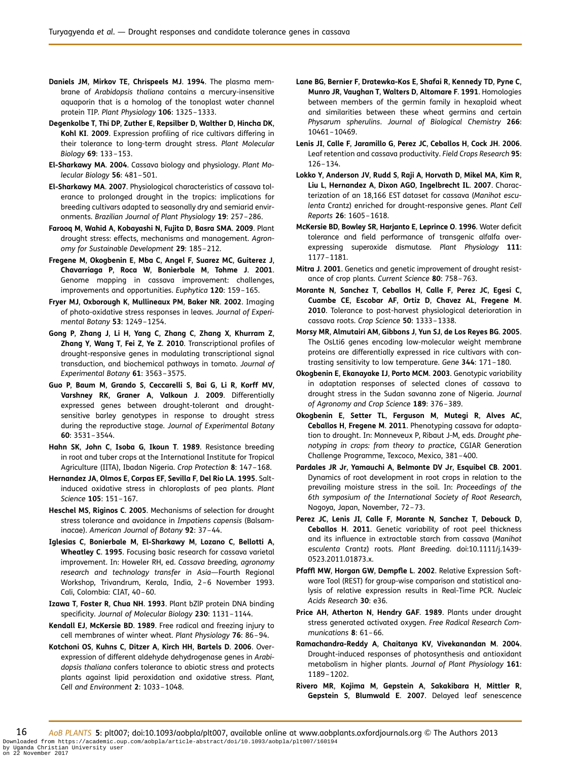- <span id="page-15-0"></span>Daniels JM, Mirkov TE, Chrispeels MJ. 1994. The plasma membrane of Arabidopsis thaliana contains a mercury-insensitive aquaporin that is a homolog of the tonoplast water channel protein TIP. Plant Physiology 106: 1325–1333.
- Degenkolbe T, Thi DP, Zuther E, Repsilber D, Walther D, Hincha DK, Kohl KI. 2009. Expression profiling of rice cultivars differing in their tolerance to long-term drought stress. Plant Molecular Biology 69: 133–153.
- El-Sharkawy MA. 2004. Cassava biology and physiology. Plant Molecular Biology 56: 481–501.
- El-Sharkawy MA. 2007. Physiological characteristics of cassava tolerance to prolonged drought in the tropics: implications for breeding cultivars adapted to seasonally dry and semiarid environments. Brazilian Journal of Plant Physiology 19: 257–286.
- Farooq M, Wahid A, Kobayashi N, Fujita D, Basra SMA. 2009. Plant drought stress: effects, mechanisms and management. Agronomy for Sustainable Development 29: 185–212.
- Fregene M, Okogbenin E, Mba C, Angel F, Suarez MC, Guiterez J, Chavarriaga P, Roca W, Bonierbale M, Tohme J. 2001. Genome mapping in cassava improvement: challenges, improvements and opportunities. Euphytica 120: 159–165.
- Fryer MJ, Oxborough K, Mullineaux PM, Baker NR. 2002. Imaging of photo-oxidative stress responses in leaves. Journal of Experimental Botany 53: 1249–1254.
- Gong P, Zhang J, Li H, Yang C, Zhang C, Zhang X, Khurram Z, Zhang Y, Wang T, Fei Z, Ye Z. 2010. Transcriptional profiles of drought-responsive genes in modulating transcriptional signal transduction, and biochemical pathways in tomato. Journal of Experimental Botany 61: 3563–3575.
- Guo P, Baum M, Grando S, Ceccarelli S, Bai G, Li R, Korff MV, Varshney RK, Graner A, Valkoun J. 2009. Differentially expressed genes between drought-tolerant and droughtsensitive barley genotypes in response to drought stress during the reproductive stage. Journal of Experimental Botany 60: 3531–3544.
- Hahn SK, John C, Isoba G, Ikoun T. 1989. Resistance breeding in root and tuber crops at the International Institute for Tropical Agriculture (IITA), Ibadan Nigeria. Crop Protection 8: 147–168.
- Hernandez JA, Olmos E, Corpas EF, Sevilla F, Del Rio LA. 1995. Saltinduced oxidative stress in chloroplasts of pea plants. Plant Science 105: 151–167.
- Heschel MS, Riginos C. 2005. Mechanisms of selection for drought stress tolerance and avoidance in Impatiens capensis (Balsaminacae). American Journal of Botany 92: 37–44.
- Iglesias C, Bonierbale M, El-Sharkawy M, Lozano C, Bellotti A, Wheatley C. 1995. Focusing basic research for cassava varietal improvement. In: Howeler RH, ed. Cassava breeding, agronomy research and technology transfer in Asia—Fourth Regional Workshop, Trivandrum, Kerala, India, 2–6 November 1993. Cali, Colombia: CIAT, 40–60.
- Izawa T, Foster R, Chua NH. 1993. Plant bZlP protein DNA binding specificity. Journal of Molecular Biology 230: 1131–1144.
- Kendall EJ, McKersie BD. 1989. Free radical and freezing injury to cell membranes of winter wheat. Plant Physiology 76: 86–94.
- Kotchoni OS, Kuhns C, Ditzer A, Kirch HH, Bartels D. 2006. Overexpression of different aldehyde dehydrogenase genes in Arabidopsis thaliana confers tolerance to abiotic stress and protects plants against lipid peroxidation and oxidative stress. Plant, Cell and Environment 2: 1033–1048.
- Lane BG, Bernier F, Dratewka-Kos E, Shafai R, Kennedy TD, Pyne C, Munro JR, Vaughan T, Walters D, Altomare F. 1991. Homologies between members of the germin family in hexaploid wheat and similarities between these wheat germins and certain Physarum spherulins. Journal of Biological Chemistry 266: 10461–10469.
- Lenis JI, Calle F, Jaramillo G, Perez JC, Ceballos H, Cock JH. 2006. Leaf retention and cassava productivity. Field Crops Research 95: 126–134.
- Lokko Y, Anderson JV, Rudd S, Raji A, Horvath D, Mikel MA, Kim R, Liu L, Hernandez A, Dixon AGO, Ingelbrecht IL. 2007. Characterization of an 18,166 EST dataset for cassava (Manihot esculenta Crantz) enriched for drought-responsive genes. Plant Cell Reports 26: 1605–1618.
- McKersie BD, Bowley SR, Harjanto E, Leprince O. 1996. Water deficit tolerance and field performance of transgenic alfalfa overexpressing superoxide dismutase. Plant Physiology 111: 1177–1181.
- Mitra J. 2001. Genetics and genetic improvement of drought resistance of crop plants. Current Science 80: 758–763.
- Morante N, Sanchez T, Ceballos H, Calle F, Perez JC, Egesi C, Cuambe CE, Escobar AF, Ortiz D, Chavez AL, Fregene M. 2010. Tolerance to post-harvest physiological deterioration in cassava roots. Crop Science 50: 1333–1338.
- Morsy MR, Almutairi AM, Gibbons J, Yun SJ, de Los Reyes BG. 2005. The OsLti6 genes encoding low-molecular weight membrane proteins are differentially expressed in rice cultivars with contrasting sensitivity to low temperature. Gene 344: 171–180.
- Okogbenin E, Ekanayake IJ, Porto MCM. 2003. Genotypic variability in adaptation responses of selected clones of cassava to drought stress in the Sudan savanna zone of Nigeria. Journal of Agronomy and Crop Science 189: 376–389.
- Okogbenin E, Setter TL, Ferguson M, Mutegi R, Alves AC, Ceballos H, Fregene M. 2011. Phenotyping cassava for adaptation to drought. In: Monneveux P, Ribaut J-M, eds. Drought phenotyping in crops: from theory to practice, CGIAR Generation Challenge Programme, Texcoco, Mexico, 381–400.
- Pardales JR Jr, Yamauchi A, Belmonte DV Jr, Esquibel CB. 2001. Dynamics of root development in root crops in relation to the prevailing moisture stress in the soil. In: Proceedings of the 6th symposium of the International Society of Root Research, Nagoya, Japan, November, 72–73.
- Perez JC, Lenis JI, Calle F, Morante N, Sanchez T, Debouck D, Ceballos H. 2011. Genetic variability of root peel thickness and its influence in extractable starch from cassava (Manihot esculenta Crantz) roots. Plant Breeding. doi:10.1111/j.1439- 0523.2011.01873.x.
- Pfaffl MW, Horgan GW, Dempfle L. 2002. Relative Expression Software Tool (REST) for group-wise comparison and statistical analysis of relative expression results in Real-Time PCR. Nucleic Acids Research 30: e36.
- Price AH, Atherton N, Hendry GAF. 1989. Plants under drought stress generated activated oxygen. Free Radical Research Communications 8: 61–66.
- Ramachandra-Reddy A, Chaitanya KV, Vivekanandan M. 2004. Drought-induced responses of photosynthesis and antioxidant metabolism in higher plants. Journal of Plant Physiology 161: 1189–1202.
- Rivero MR, Kojima M, Gepstein A, Sakakibara H, Mittler R, Gepstein S, Blumwald E. 2007. Delayed leaf senescence